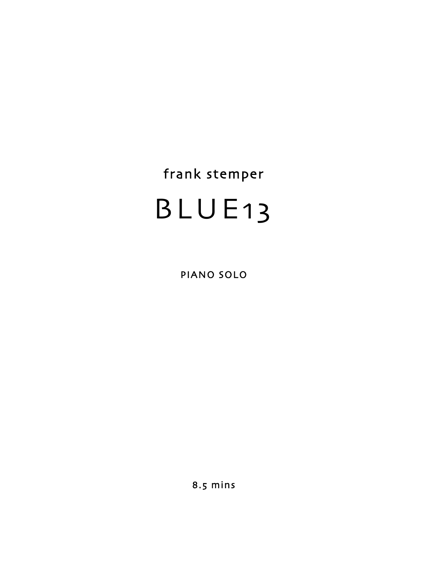# frank stemper BLUE13

PIANO SOLO

8.5 mins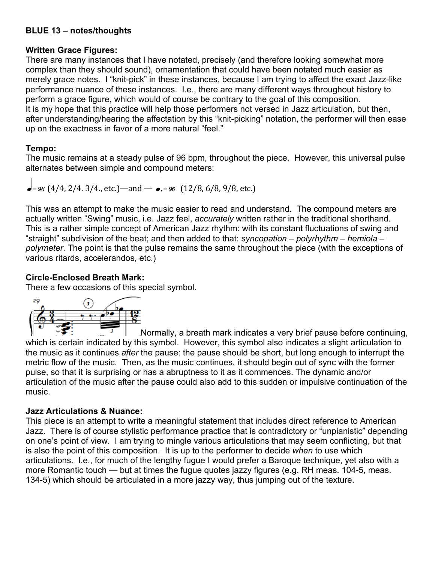## **BLUE 13 – notes/thoughts**

#### **Written Grace Figures:**

There are many instances that I have notated, precisely (and therefore looking somewhat more complex than they should sound), ornamentation that could have been notated much easier as merely grace notes. I "knit-pick" in these instances, because I am trying to affect the exact Jazz-like performance nuance of these instances. I.e., there are many different ways throughout history to perform a grace figure, which would of course be contrary to the goal of this composition. It is my hope that this practice will help those performers not versed in Jazz articulation, but then, after understanding/hearing the affectation by this "knit-picking" notation, the performer will then ease up on the exactness in favor of a more natural "feel."

## **Tempo:**

The music remains at a steady pulse of 96 bpm, throughout the piece. However, this universal pulse alternates between simple and compound meters:

$$
\bullet = 96 \text{ (4/4, 2/4. 3/4., etc.)} - \text{and} - \bullet = 96 \text{ (12/8, 6/8, 9/8, etc.)}
$$

This was an attempt to make the music easier to read and understand. The compound meters are actually written "Swing" music, i.e. Jazz feel, *accurately* written rather in the traditional shorthand. This is a rather simple concept of American Jazz rhythm: with its constant fluctuations of swing and "straight" subdivision of the beat; and then added to that: *syncopation – polyrhythm – hemiola – polymeter*. The point is that the pulse remains the same throughout the piece (with the exceptions of various ritards, accelerandos, etc.)

## **Circle-Enclosed Breath Mark:**

There a few occasions of this special symbol.



Normally, a breath mark indicates a very brief pause before continuing, which is certain indicated by this symbol. However, this symbol also indicates a slight articulation to the music as it continues *after* the pause: the pause should be short, but long enough to interrupt the metric flow of the music. Then, as the music continues, it should begin out of sync with the former pulse, so that it is surprising or has a abruptness to it as it commences. The dynamic and/or articulation of the music after the pause could also add to this sudden or impulsive continuation of the music.

#### **Jazz Articulations & Nuance:**

This piece is an attempt to write a meaningful statement that includes direct reference to American Jazz. There is of course stylistic performance practice that is contradictory or "unpianistic" depending on one's point of view. I am trying to mingle various articulations that may seem conflicting, but that is also the point of this composition. It is up to the performer to decide *when* to use which articulations. I.e., for much of the lengthy fugue I would prefer a Baroque technique, yet also with a more Romantic touch — but at times the fugue quotes jazzy figures (e.g. RH meas. 104-5, meas. 134-5) which should be articulated in a more jazzy way, thus jumping out of the texture.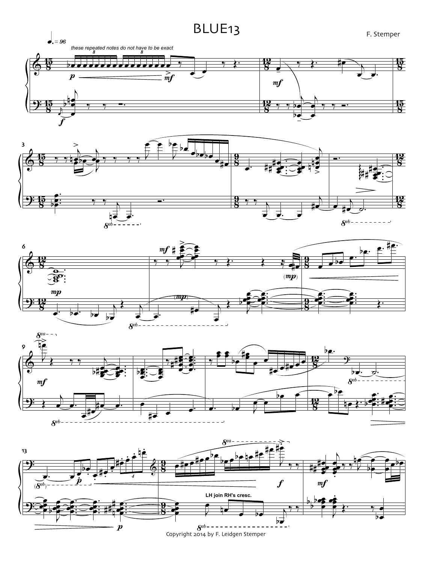# BLUE<sub>13</sub>

F. Stemper









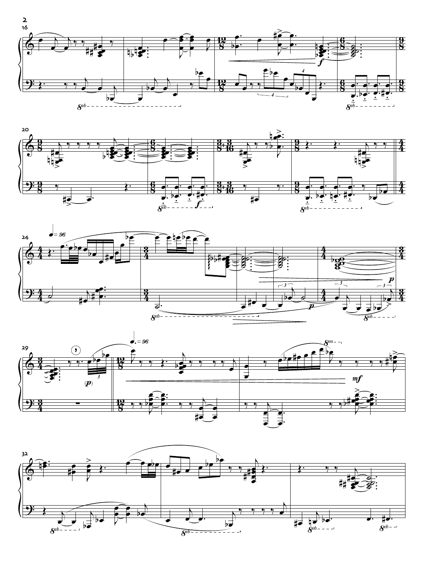







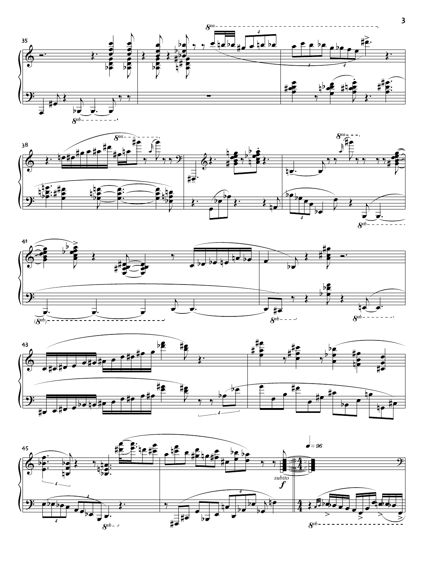







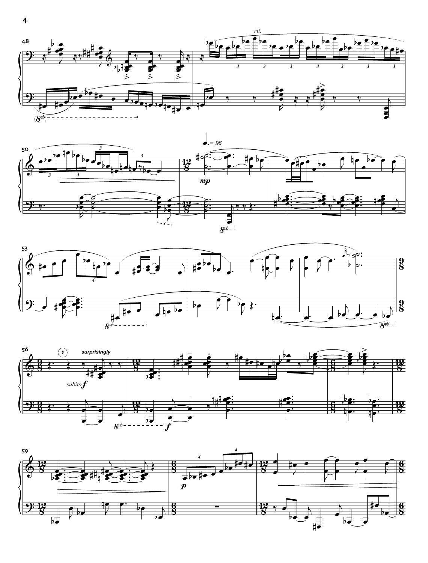







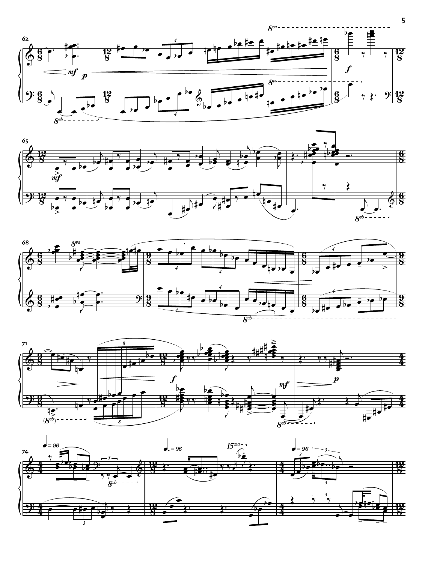







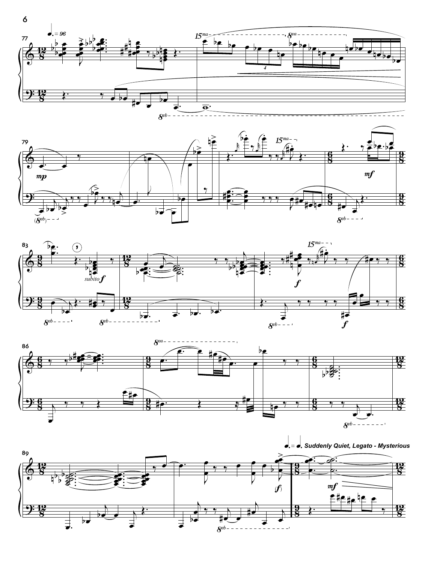







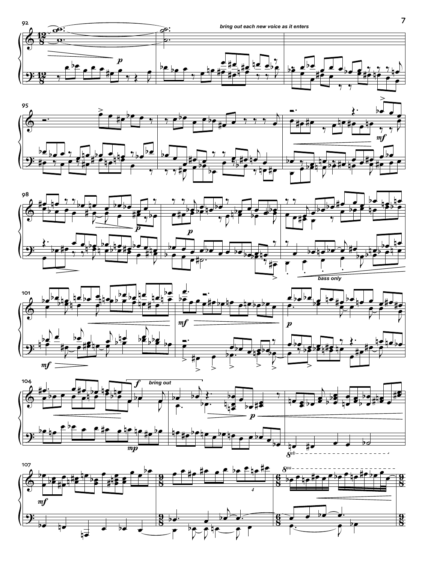









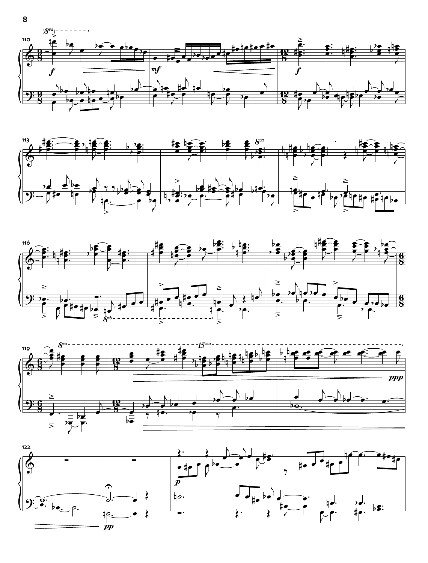







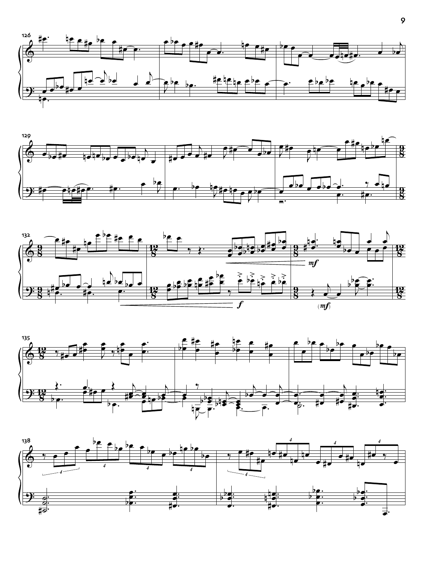







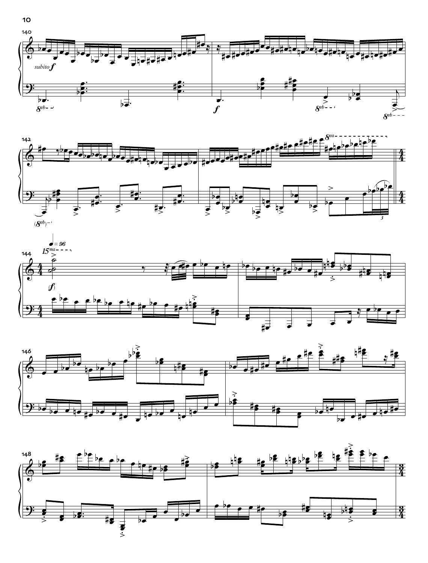







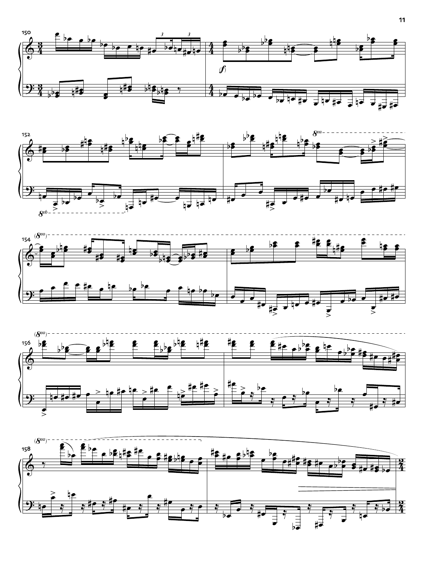







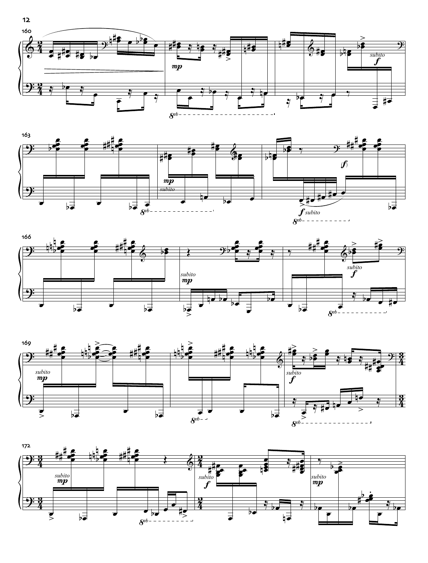









12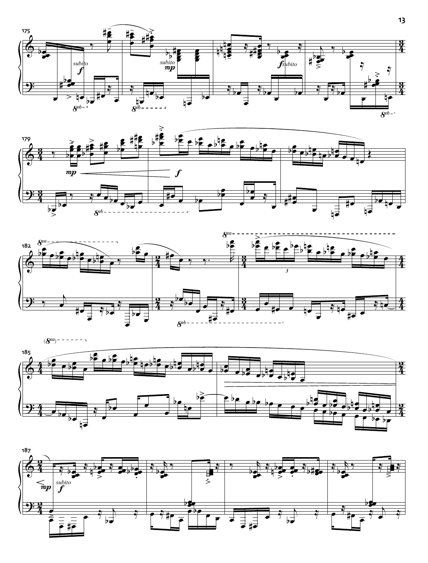





 $\langle \boldsymbol{\delta}$ 



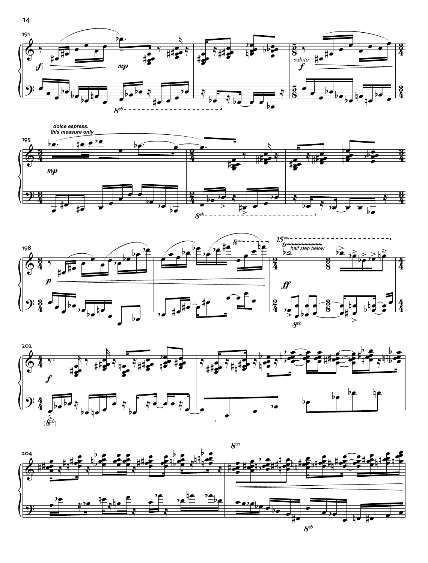







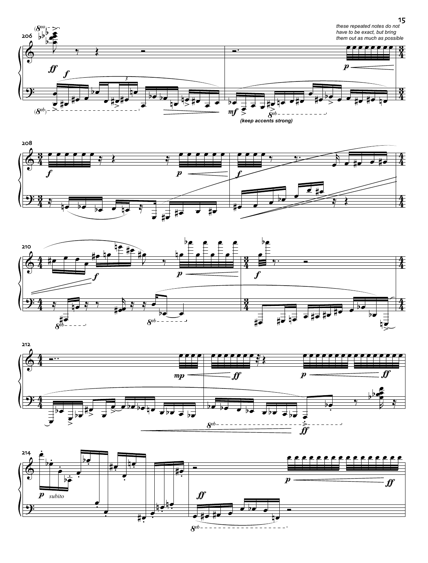









15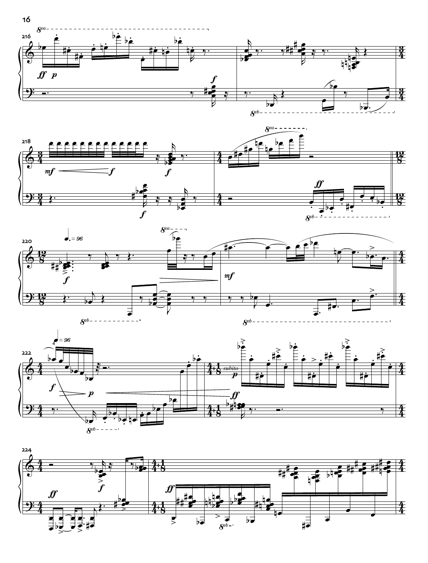